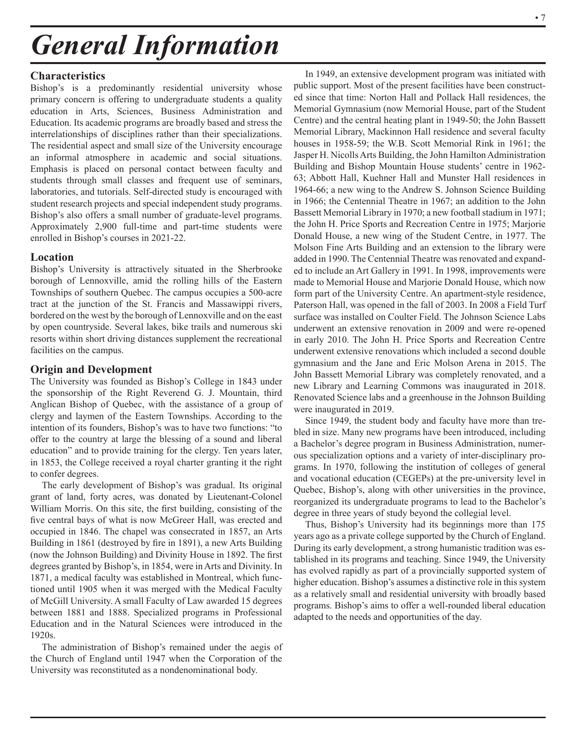# *General Information*

## **Characteristics**

Bishop's is a predominantly residential university whose primary concern is offering to undergraduate students a quality education in Arts, Sciences, Business Administration and Education. Its academic programs are broadly based and stress the interrelationships of disciplines rather than their specializations. The residential aspect and small size of the University encourage an informal atmosphere in academic and social situations. Emphasis is placed on personal contact between faculty and students through small classes and frequent use of seminars, laboratories, and tutorials. Self-directed study is encouraged with student research projects and special independent study programs. Bishop's also offers a small number of graduate-level programs. Approximately 2,900 full-time and part-time students were enrolled in Bishop's courses in 2021-22.

#### **Location**

Bishop's University is attractively situated in the Sherbrooke borough of Lennoxville, amid the rolling hills of the Eastern Townships of southern Quebec. The campus occupies a 500-acre tract at the junction of the St. Francis and Massawippi rivers, bordered on the west by the borough of Lennoxville and on the east by open countryside. Several lakes, bike trails and numerous ski resorts within short driving distances supplement the recreational facilities on the campus.

#### **Origin and Development**

The University was founded as Bishop's College in 1843 under the sponsorship of the Right Reverend G. J. Mountain, third Anglican Bishop of Quebec, with the assistance of a group of clergy and laymen of the Eastern Townships. According to the intention of its founders, Bishop's was to have two functions: "to offer to the country at large the blessing of a sound and liberal education" and to provide training for the clergy. Ten years later, in 1853, the College received a royal charter granting it the right to confer degrees.

The early development of Bishop's was gradual. Its original grant of land, forty acres, was donated by Lieutenant-Colonel William Morris. On this site, the first building, consisting of the five central bays of what is now McGreer Hall, was erected and occupied in 1846. The chapel was consecrated in 1857, an Arts Building in 1861 (destroyed by fire in 1891), a new Arts Building (now the Johnson Building) and Divinity House in 1892. The first degrees granted by Bishop's, in 1854, were in Arts and Divinity. In 1871, a medical faculty was established in Montreal, which functioned until 1905 when it was merged with the Medical Faculty of McGill University. A small Faculty of Law awarded 15 degrees between 1881 and 1888. Specialized programs in Professional Education and in the Natural Sciences were introduced in the 1920s.

The administration of Bishop's remained under the aegis of the Church of England until 1947 when the Corporation of the University was reconstituted as a nondenominational body.

• 7

In 1949, an extensive development program was initiated with public support. Most of the present facilities have been constructed since that time: Norton Hall and Pollack Hall residences, the Memorial Gymnasium (now Memorial House, part of the Student Centre) and the central heating plant in 1949-50; the John Bassett Memorial Library, Mackinnon Hall residence and several faculty houses in 1958-59; the W.B. Scott Memorial Rink in 1961; the Jasper H. Nicolls Arts Building, the John Hamilton Administration Building and Bishop Mountain House students' centre in 1962- 63; Abbott Hall, Kuehner Hall and Munster Hall residences in 1964-66; a new wing to the Andrew S. Johnson Science Building in 1966; the Centennial Theatre in 1967; an addition to the John Bassett Memorial Library in 1970; a new football stadium in 1971; the John H. Price Sports and Recreation Centre in 1975; Marjorie Donald House, a new wing of the Student Centre, in 1977. The Molson Fine Arts Building and an extension to the library were added in 1990. The Centennial Theatre was renovated and expanded to include an Art Gallery in 1991. In 1998, improvements were made to Memorial House and Marjorie Donald House, which now form part of the University Centre. An apartment-style residence, Paterson Hall, was opened in the fall of 2003. In 2008 a Field Turf surface was installed on Coulter Field. The Johnson Science Labs underwent an extensive renovation in 2009 and were re-opened in early 2010. The John H. Price Sports and Recreation Centre underwent extensive renovations which included a second double gymnasium and the Jane and Eric Molson Arena in 2015. The John Bassett Memorial Library was completely renovated, and a new Library and Learning Commons was inaugurated in 2018. Renovated Science labs and a greenhouse in the Johnson Building were inaugurated in 2019.

Since 1949, the student body and faculty have more than trebled in size. Many new programs have been introduced, including a Bachelor's degree program in Business Administration, numerous specialization options and a variety of inter-disciplinary programs. In 1970, following the institution of colleges of general and vocational education (CEGEPs) at the pre-university level in Quebec, Bishop's, along with other universities in the province, reorganized its undergraduate programs to lead to the Bachelor's degree in three years of study beyond the collegial level.

Thus, Bishop's University had its beginnings more than 175 years ago as a private college supported by the Church of England. During its early development, a strong humanistic tradition was established in its programs and teaching. Since 1949, the University has evolved rapidly as part of a provincially supported system of higher education. Bishop's assumes a distinctive role in this system as a relatively small and residential university with broadly based programs. Bishop's aims to offer a well-rounded liberal education adapted to the needs and opportunities of the day.